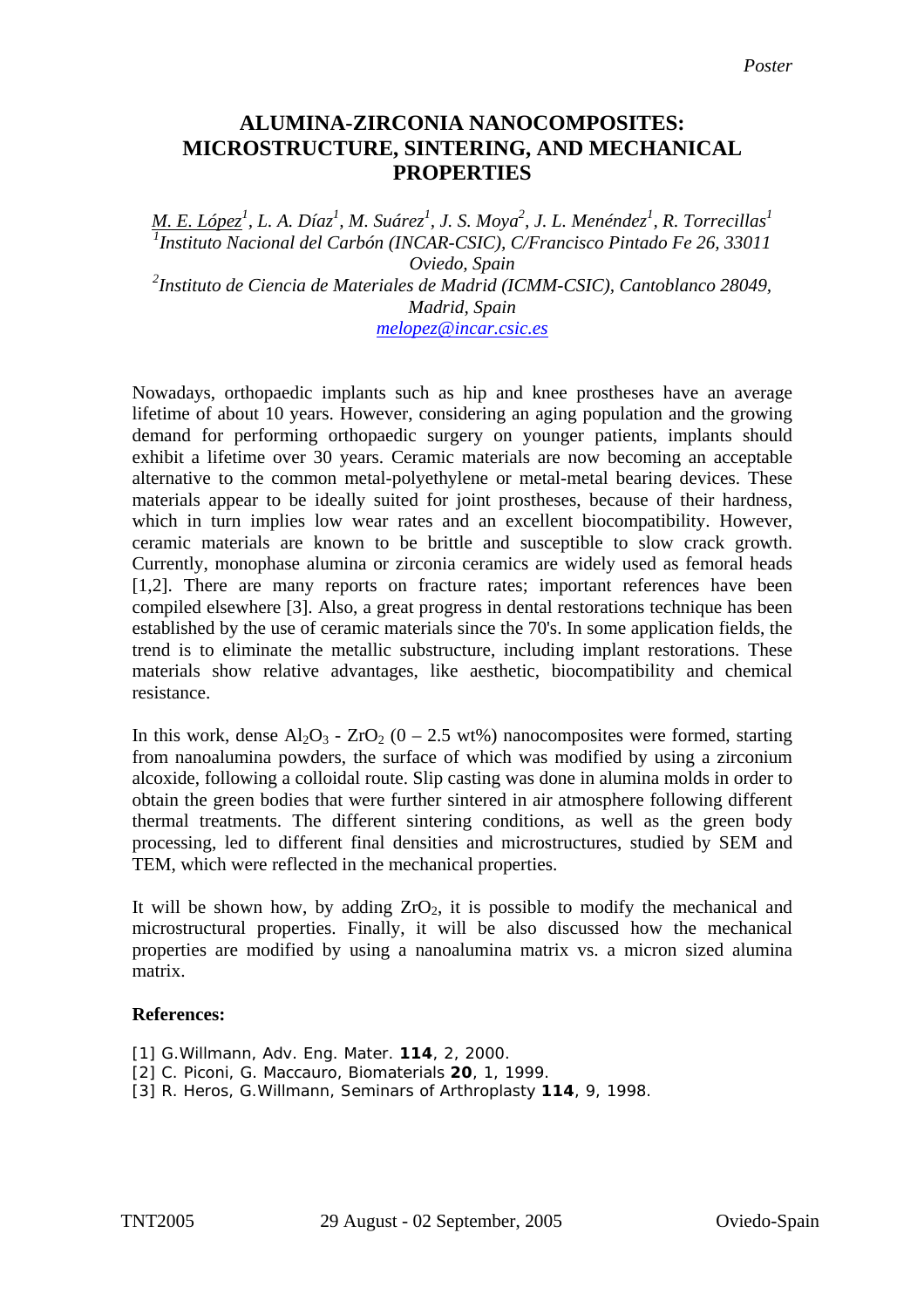## **ALUMINA-ZIRCONIA NANOCOMPOSITES: MICROSTRUCTURE, SINTERING, AND MECHANICAL PROPERTIES**

*M. E. López<sup>1</sup>, L. A. Díaz<sup>1</sup>, M. Suárez<sup>1</sup>, J. S. Moya<sup>2</sup>, J. L. Menéndez<sup>1</sup>, R. Torrecillas<sup>1</sup><br><sup>1</sup> Institute Nacional del Carbón (INCAB CSIC), C/Eraneiseo Birtado Eo 26, 22011 Instituto Nacional del Carbón (INCAR-CSIC), C/Francisco Pintado Fe 26, 33011 Oviedo, Spain 2 Instituto de Ciencia de Materiales de Madrid (ICMM-CSIC), Cantoblanco 28049, Madrid, Spain [melopez@incar.csic.es](mailto:melopez@incar.csic.es)*

Nowadays, orthopaedic implants such as hip and knee prostheses have an average lifetime of about 10 years. However, considering an aging population and the growing demand for performing orthopaedic surgery on younger patients, implants should exhibit a lifetime over 30 years. Ceramic materials are now becoming an acceptable alternative to the common metal-polyethylene or metal-metal bearing devices. These materials appear to be ideally suited for joint prostheses, because of their hardness, which in turn implies low wear rates and an excellent biocompatibility. However, ceramic materials are known to be brittle and susceptible to slow crack growth. Currently, monophase alumina or zirconia ceramics are widely used as femoral heads [1,2]. There are many reports on fracture rates; important references have been compiled elsewhere [3]. Also, a great progress in dental restorations technique has been established by the use of ceramic materials since the 70's. In some application fields, the trend is to eliminate the metallic substructure, including implant restorations. These materials show relative advantages, like aesthetic, biocompatibility and chemical resistance.

In this work, dense  $Al_2O_3$  -  $ZrO_2$  (0 – 2.5 wt%) nanocomposites were formed, starting from nanoalumina powders, the surface of which was modified by using a zirconium alcoxide, following a colloidal route. Slip casting was done in alumina molds in order to obtain the green bodies that were further sintered in air atmosphere following different thermal treatments. The different sintering conditions, as well as the green body processing, led to different final densities and microstructures, studied by SEM and TEM, which were reflected in the mechanical properties.

It will be shown how, by adding  $ZrO_2$ , it is possible to modify the mechanical and microstructural properties. Finally, it will be also discussed how the mechanical properties are modified by using a nanoalumina matrix vs. a micron sized alumina matrix.

## **References:**

[1] G.Willmann, Adv. Eng. Mater. **114**, 2, 2000.

- [2] C. Piconi, G. Maccauro, Biomaterials **20**, 1, 1999.
- [3] R. Heros, G.Willmann, Seminars of Arthroplasty **114**, 9, 1998.